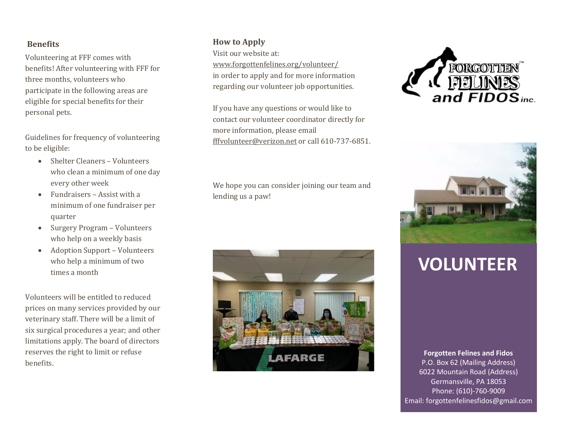### **Benefits**

Volunteering at FFF comes with benefits! After volunteering with FFF for three months, volunteers who participate in the following areas are eligible for special benefits for their personal pets.

Guidelines for frequency of volunteering to be eligible:

- Shelter Cleaners Volunteers who clean a minimum of one day every other week
- Fundraisers Assist with a minimum of one fundraiser per quarter
- Surgery Program Volunteers who help on a weekly basis
- Adoption Support Volunteers who help a minimum of two times a month

Volunteers will be entitled to reduced prices on many services provided by our veterinary staff. There will be a limit of six surgical procedures a year; and other limitations apply. The board of directors reserves the right to limit or refuse benefits.

### **How to Apply**

Visit our website at: [www.forgottenfelines.org/volunteer/](http://www.forgottenfelines.org/volunteer/) in order to apply and for more information regarding our volunteer job opportunities.

If you have any questions or would like to contact our volunteer coordinator directly for more information, please email [fffvolunteer@verizon.net](mailto:fffvolunteer@verizon.net) or call 610-737-6851.

We hope you can consider joining our team and lending us a paw!







# **VOLUNTEER**

**Forgotten Felines and Fidos** P.O. Box 62 (Mailing Address) 6022 Mountain Road (Address) Germansville, PA 18053 Phone: (610)-760-9009 Email: forgottenfelinesfidos@gmail.com